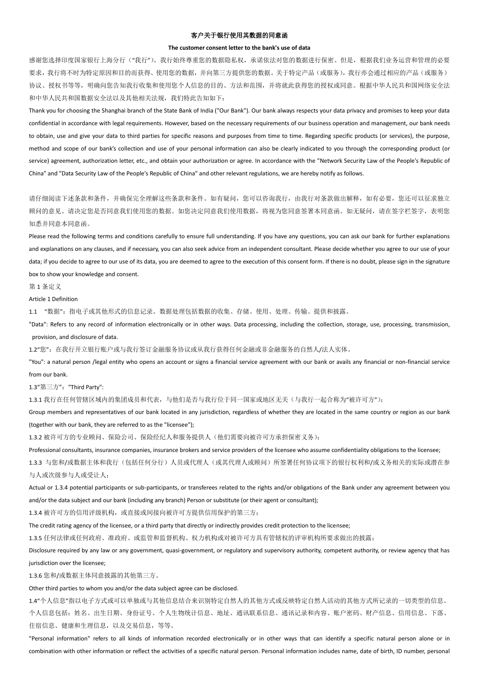## 客户关于银行使用其数据的同意函

## **The customer consent letter to the bank's use of data**

感谢您选择印度国家银行上海分行("我行")。我行始终尊重您的数据隐私权,承诺依法对您的数据进行保密。但是,根据我们业务运营和管理的必要 要求,我行将不时为特定原因和目的而获得、使用您的数据,并向第三方提供您的数据。关于特定产品(或服务),我行亦会通过相应的产品(或服务) 协议、授权书等等,明确向您告知我行收集和使用您个人信息的目的、方法和范围,并将就此获得您的授权或同意。根据中华人民共和国网络安全法 和中华人民共和国数据安全法以及其他相关法规,我们特此告知如下:

Thank you for choosing the Shanghai branch of the State Bank of India ("Our Bank"). Our bank always respects your data privacy and promises to keep your data confidential in accordance with legal requirements. However, based on the necessary requirements of our business operation and management, our bank needs to obtain, use and give your data to third parties for specific reasons and purposes from time to time. Regarding specific products (or services), the purpose, method and scope of our bank's collection and use of your personal information can also be clearly indicated to you through the corresponding product (or service) agreement, authorization letter, etc., and obtain your authorization or agree. In accordance with the "Network Security Law of the People's Republic of China" and "Data Security Law of the People's Republic of China" and other relevant regulations, we are hereby notify as follows.

请仔细阅读下述条款和条件,并确保完全理解这些条款和条件。如有疑问,您可以咨询我行,由我行对条款做出解释,如有必要,您还可以征求独立 顾问的意见。请决定您是否同意我们使用您的数据。如您决定同意我们使用数据,将视为您同意签署本同意函。如无疑问,请在签字栏签字,表明您 知悉并同意本同意函。

Please read the following terms and conditions carefully to ensure full understanding. If you have any questions, you can ask our bank for further explanations and explanations on any clauses, and if necessary, you can also seek advice from an independent consultant. Please decide whether you agree to our use of your data; if you decide to agree to our use of its data, you are deemed to agree to the execution of this consent form. If there is no doubt, please sign in the signature box to show your knowledge and consent.

第 1 条定义

Article 1 Definition

1.1 "数据":指电子或其他形式的信息记录。数据处理包括数据的收集、存储、使用、处理、传输、提供和披露。

"Data": Refers to any record of information electronically or in other ways. Data processing, including the collection, storage, use, processing, transmission, provision, and disclosure of data.

1.2"您":在我行开立银行账户或与我行签订金融服务协议或从我行获得任何金融或非金融服务的自然人/法人实体。

"You": a natural person /legal entity who opens an account or signs a financial service agreement with our bank or avails any financial or non-financial service from our bank.

1.3"第三方": "Third Party":

1.3.1 我行在任何管辖区域内的集团成员和代表,与他们是否与我行位于同一国家或地区无关(与我行一起合称为"被许可方");

Group members and representatives of our bank located in any jurisdiction, regardless of whether they are located in the same country or region as our bank (together with our bank, they are referred to as the "licensee");

1.3.2 被许可方的专业顾问、保险公司、保险经纪人和服务提供人(他们需要向被许可方承担保密义务);

Professional consultants, insurance companies, insurance brokers and service providers of the licensee who assume confidentiality obligations to the licensee;

1.3.3 与您和/或数据主体和我行(包括任何分行)人员或代理人(或其代理人或顾问)所签署任何协议项下的银行权利和/或义务相关的实际或潜在参 与人或次级参与人或受让人;

Actual or 1.3.4 potential participants or sub-participants, or transferees related to the rights and/or obligations of the Bank under any agreement between you and/or the data subject and our bank (including any branch) Person or substitute (or their agent or consultant);

1.3.4 被许可方的信用评级机构,或直接或间接向被许可方提供信用保护的第三方;

The credit rating agency of the licensee, or a third party that directly or indirectly provides credit protection to the licensee;

1.3.5 任何法律或任何政府、准政府、或监管和监督机构、权力机构或对被许可方具有管辖权的评审机构所要求做出的披露;

Disclosure required by any law or any government, quasi-government, or regulatory and supervisory authority, competent authority, or review agency that has jurisdiction over the licensee;

1.3.6 您和/或数据主体同意披露的其他第三方。

Other third parties to whom you and/or the data subject agree can be disclosed.

1.4"个人信息"指以电子方式或可以单独或与其他信息结合来识别特定自然人的其他方式或反映特定自然人活动的其他方式所记录的一切类型的信息。 个人信息包括:姓名、出生日期、身份证号、个人生物统计信息、地址、通讯联系信息、通讯记录和内容、账户密码、财产信息、信用信息、下落、 住宿信息、健康和生理信息,以及交易信息,等等。

"Personal information" refers to all kinds of information recorded electronically or in other ways that can identify a specific natural person alone or in combination with other information or reflect the activities of a specific natural person. Personal information includes name, date of birth, ID number, personal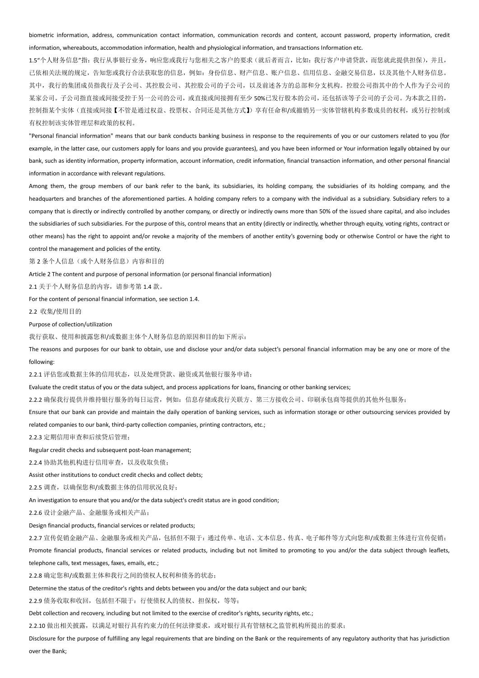## biometric information, address, communication contact information, communication records and content, account password, property information, credit information, whereabouts, accommodation information, health and physiological information, and transactions Information etc.

1.5"个人财务信息"指:我行从事银行业务,响应您或我行与您相关之客户的要求(就后者而言,比如:我行客户申请贷款,而您就此提供担保),并且, 已依相关法规的规定,告知您或我行合法获取您的信息,例如:身份信息、财产信息、账户信息、信用信息、金融交易信息,以及其他个人财务信息。 其中,我行的集团成员指我行及子公司、其控股公司、其控股公司的子公司,以及前述各方的总部和分支机构。控股公司指其中的个人作为子公司的 某家公司。子公司指直接或间接受控于另一公司的公司,或直接或间接拥有至少 50%已发行股本的公司,还包括该等子公司的子公司。为本款之目的, 控制指某个实体(直接或间接【不管是通过权益、投票权、合同还是其他方式】)享有任命和/或撤销另一实体管辖机构多数成员的权利,或另行控制或 有权控制该实体管理层和政策的权利。

"Personal financial information" means that our bank conducts banking business in response to the requirements of you or our customers related to you (for example, in the latter case, our customers apply for loans and you provide guarantees), and you have been informed or Your information legally obtained by our bank, such as identity information, property information, account information, credit information, financial transaction information, and other personal financial information in accordance with relevant regulations.

Among them, the group members of our bank refer to the bank, its subsidiaries, its holding company, the subsidiaries of its holding company, and the headquarters and branches of the aforementioned parties. A holding company refers to a company with the individual as a subsidiary. Subsidiary refers to a company that is directly or indirectly controlled by another company, or directly or indirectly owns more than 50% of the issued share capital, and also includes the subsidiaries of such subsidiaries. For the purpose of this, control means that an entity (directly or indirectly, whether through equity, voting rights, contract or other means) has the right to appoint and/or revoke a majority of the members of another entity's governing body or otherwise Control or have the right to control the management and policies of the entity.

第2条个人信息(或个人财务信息)内容和目的

Article 2 The content and purpose of personal information (or personal financial information)

2.1 关于个人财务信息的内容,请参考第 1.4 款。

For the content of personal financial information, see section 1.4.

2.2 收集/使用目的

## Purpose of collection/utilization

我行获取、使用和披露您和/或数据主体个人财务信息的原因和目的如下所示:

The reasons and purposes for our bank to obtain, use and disclose your and/or data subject's personal financial information may be any one or more of the following:

2.2.1 评估您或数据主体的信用状态,以及处理贷款、融资或其他银行服务申请;

Evaluate the credit status of you or the data subject, and process applications for loans, financing or other banking services;

2.2.2 确保我行提供并维持银行服务的每日运营,例如:信息存储或我行关联方、第三方接收公司、印刷承包商等提供的其他外包服务;

Ensure that our bank can provide and maintain the daily operation of banking services, such as information storage or other outsourcing services provided by

related companies to our bank, third-party collection companies, printing contractors, etc.;

2.2.3 定期信用审查和后续贷后管理;

Regular credit checks and subsequent post-loan management;

2.2.4 协助其他机构进行信用审查,以及收取负债;

Assist other institutions to conduct credit checks and collect debts;

2.2.5 调查,以确保您和/或数据主体的信用状况良好;

An investigation to ensure that you and/or the data subject's credit status are in good condition;

2.2.6 设计金融产品、金融服务或相关产品;

Design financial products, financial services or related products;

2.2.7 宣传促销金融产品、金融服务或相关产品,包括但不限于:通过传单、电话、文本信息、传真、电子邮件等方式向您和/或数据主体进行宣传促销;

Promote financial products, financial services or related products, including but not limited to promoting to you and/or the data subject through leaflets, telephone calls, text messages, faxes, emails, etc.;

2.2.8 确定您和/或数据主体和我行之间的债权人权利和债务的状态;

Determine the status of the creditor's rights and debts between you and/or the data subject and our bank;

2.2.9 债务收取和收回,包括但不限于:行使债权人的债权、担保权,等等;

Debt collection and recovery, including but not limited to the exercise of creditor's rights, security rights, etc.;

2.2.10 做出相关披露,以满足对银行具有约束力的任何法律要求,或对银行具有管辖权之监管机构所提出的要求;

Disclosure for the purpose of fulfilling any legal requirements that are binding on the Bank or the requirements of any regulatory authority that has jurisdiction over the Bank;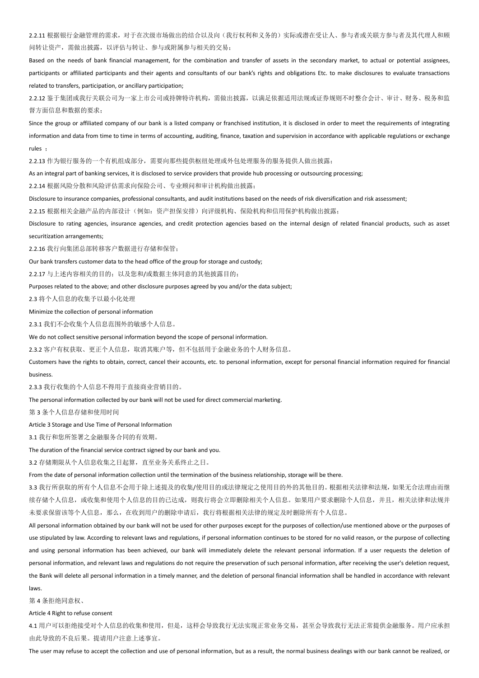2.2.11 根据银行金融管理的需求,对于在次级市场做出的结合以及向(我行权利和义务的)实际或潜在受让人、参与者或关联方参与者及其代理人和顾 问转让资产,需做出披露,以评估与转让、参与或附属参与相关的交易;

Based on the needs of bank financial management, for the combination and transfer of assets in the secondary market, to actual or potential assignees, participants or affiliated participants and their agents and consultants of our bank's rights and obligations Etc. to make disclosures to evaluate transactions related to transfers, participation, or ancillary participation;

2.2.12 鉴于集团或我行关联公司为一家上市公司或持牌特许机构,需做出披露,以满足依据适用法规或证券规则不时整合会计、审计、财务、税务和监 督方面信息和数据的要求;

Since the group or affiliated company of our bank is a listed company or franchised institution, it is disclosed in order to meet the requirements of integrating information and data from time to time in terms of accounting, auditing, finance, taxation and supervision in accordance with applicable regulations or exchange rules ;

2.2.13 作为银行服务的一个有机组成部分,需要向那些提供枢纽处理或外包处理服务的服务提供人做出披露;

As an integral part of banking services, it is disclosed to service providers that provide hub processing or outsourcing processing;

2.2.14 根据风险分散和风险评估需求向保险公司、专业顾问和审计机构做出披露;

Disclosure to insurance companies, professional consultants, and audit institutions based on the needs of risk diversification and risk assessment;

2.2.15 根据相关金融产品的内部设计(例如:资产担保安排)向评级机构、保险机构和信用保护机构做出披露;

Disclosure to rating agencies, insurance agencies, and credit protection agencies based on the internal design of related financial products, such as asset securitization arrangements;

2.2.16 我行向集团总部转移客户数据进行存储和保管;

Our bank transfers customer data to the head office of the group for storage and custody;

2.2.17 与上述内容相关的目的;以及您和/或数据主体同意的其他披露目的;

Purposes related to the above; and other disclosure purposes agreed by you and/or the data subject;

2.3 将个人信息的收集予以最小化处理

Minimize the collection of personal information

2.3.1 我们不会收集个人信息范围外的敏感个人信息。

We do not collect sensitive personal information beyond the scope of personal information.

2.3.2 客户有权获取、更正个人信息, 取消其账户等, 但不包括用于金融业务的个人财务信息。

Customers have the rights to obtain, correct, cancel their accounts, etc. to personal information, except for personal financial information required for financial business.

2.3.3 我行收集的个人信息不得用于直接商业营销目的。

The personal information collected by our bank will not be used for direct commercial marketing.

第 3 条个人信息存储和使用时间

Article 3 Storage and Use Time of Personal Information

3.1 我行和您所签署之金融服务合同的有效期。

The duration of the financial service contract signed by our bank and you.

3.2 存储期限从个人信息收集之日起算,直至业务关系终止之日。

From the date of personal information collection until the termination of the business relationship, storage will be there.

3.3 我行所获取的所有个人信息不会用于除上述提及的收集/使用目的或法律规定之使用目的外的其他目的。根据相关法律和法规,如果无合法理由而继 续存储个人信息,或收集和使用个人信息的目的已达成,则我行将会立即删除相关个人信息。如果用户要求删除个人信息,并且,相关法律和法规并 未要求保留该等个人信息,那么,在收到用户的删除申请后,我行将根据相关法律的规定及时删除所有个人信息。

All personal information obtained by our bank will not be used for other purposes except for the purposes of collection/use mentioned above or the purposes of use stipulated by law. According to relevant laws and regulations, if personal information continues to be stored for no valid reason, or the purpose of collecting and using personal information has been achieved, our bank will immediately delete the relevant personal information. If a user requests the deletion of personal information, and relevant laws and regulations do not require the preservation of such personal information, after receiving the user's deletion request, the Bank will delete all personal information in a timely manner, and the deletion of personal financial information shall be handled in accordance with relevant laws.

第 4 条拒绝同意权、

Article 4 Right to refuse consent

4.1 用户可以拒绝接受对个人信息的收集和使用,但是,这样会导致我行无法实现正常业务交易,甚至会导致我行无法正常提供金融服务。用户应承担 由此导致的不良后果。提请用户注意上述事宜。

The user may refuse to accept the collection and use of personal information, but as a result, the normal business dealings with our bank cannot be realized, or